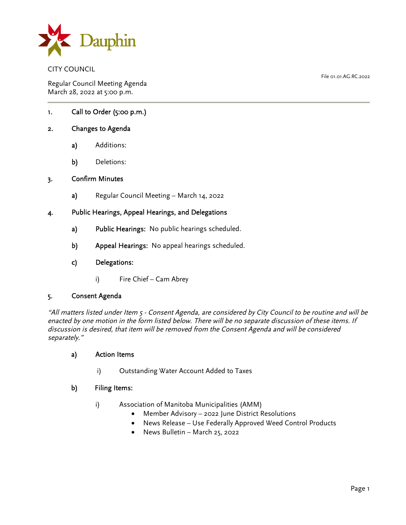

CITY COUNCIL

Regular Council Meeting Agenda March 28, 2022 at 5:00 p.m.

1. Call to Order (5:00 p.m.)

# 2. Changes to Agenda

- a) Additions:
- b) Deletions:

# 3. Confirm Minutes

a) Regular Council Meeting – March 14, 2022

## 4. Public Hearings, Appeal Hearings, and Delegations

- a) Public Hearings: No public hearings scheduled.
- b) Appeal Hearings: No appeal hearings scheduled.
- c) Delegations:
	- i) Fire Chief Cam Abrey

#### 5. Consent Agenda

"All matters listed under Item 5 - Consent Agenda, are considered by City Council to be routine and will be enacted by one motion in the form listed below. There will be no separate discussion of these items. If discussion is desired, that item will be removed from the Consent Agenda and will be considered separately."

### a) Action Items

i) Outstanding Water Account Added to Taxes

#### b) Filing Items:

- i) Association of Manitoba Municipalities (AMM)
	- Member Advisory 2022 June District Resolutions
	- News Release Use Federally Approved Weed Control Products
	- News Bulletin March 25, 2022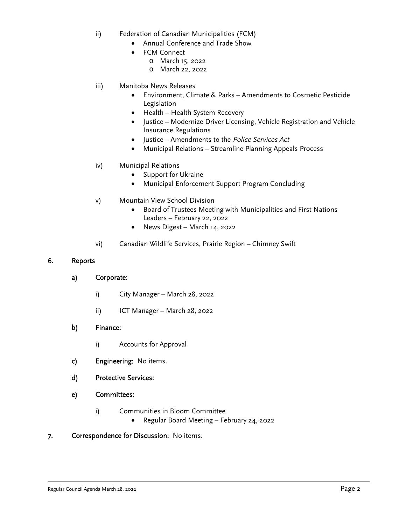- ii) Federation of Canadian Municipalities (FCM)
	- Annual Conference and Trade Show
	- FCM Connect
		- o March 15, 2022
		- o March 22, 2022
- iii) Manitoba News Releases
	- Environment, Climate & Parks Amendments to Cosmetic Pesticide Legislation
	- Health Health System Recovery
	- Justice Modernize Driver Licensing, Vehicle Registration and Vehicle Insurance Regulations
	- Justice Amendments to the *Police Services Act*
	- Municipal Relations Streamline Planning Appeals Process

### iv) Municipal Relations

- Support for Ukraine
- Municipal Enforcement Support Program Concluding
- v) Mountain View School Division
	- Board of Trustees Meeting with Municipalities and First Nations Leaders – February 22, 2022
	- News Digest March 14, 2022
- vi) Canadian Wildlife Services, Prairie Region Chimney Swift

### 6. Reports

## a) Corporate:

- i) City Manager March 28, 2022
- ii) ICT Manager March 28, 2022

#### b) Finance:

- i) Accounts for Approval
- c) Engineering: No items.
- d) Protective Services:

# e) Committees:

- i) Communities in Bloom Committee
	- Regular Board Meeting February 24, 2022
- 7. Correspondence for Discussion: No items.